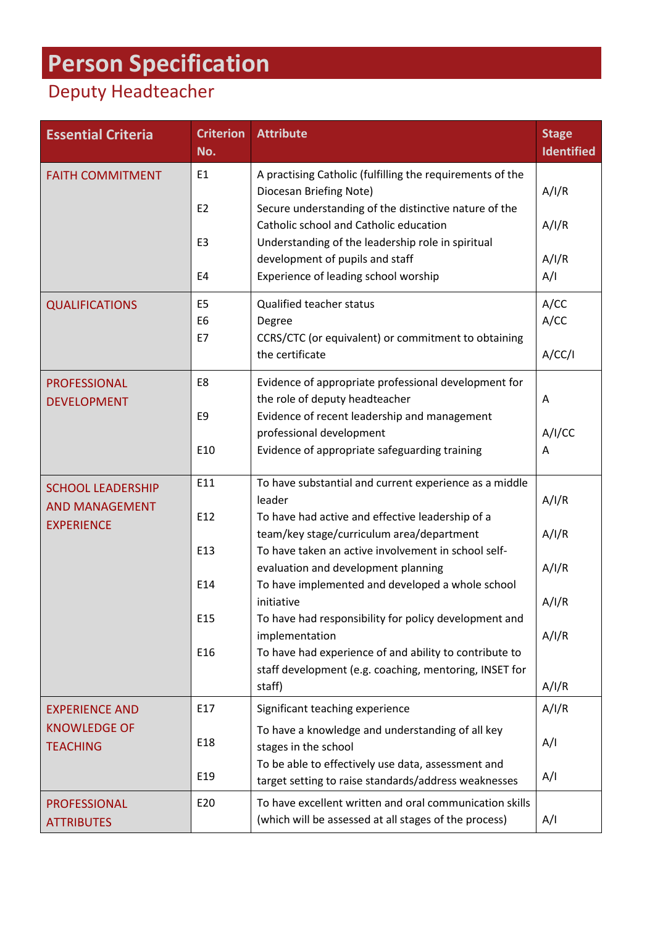## **Person Specification**

## Deputy Headteacher

| <b>Essential Criteria</b>                         | <b>Criterion</b><br>No.          | <b>Attribute</b>                                                                                                                              | <b>Stage</b><br><b>Identified</b> |
|---------------------------------------------------|----------------------------------|-----------------------------------------------------------------------------------------------------------------------------------------------|-----------------------------------|
| <b>FAITH COMMITMENT</b>                           | E <sub>1</sub><br>E <sub>2</sub> | A practising Catholic (fulfilling the requirements of the<br>Diocesan Briefing Note)<br>Secure understanding of the distinctive nature of the | A/I/R                             |
|                                                   |                                  | Catholic school and Catholic education                                                                                                        | A/I/R                             |
|                                                   | E <sub>3</sub>                   | Understanding of the leadership role in spiritual<br>development of pupils and staff                                                          | A/I/R                             |
|                                                   | E4                               | Experience of leading school worship                                                                                                          | A/I                               |
| <b>QUALIFICATIONS</b>                             | E <sub>5</sub>                   | <b>Qualified teacher status</b>                                                                                                               | A/CC                              |
|                                                   | E <sub>6</sub><br>E7             | Degree<br>CCRS/CTC (or equivalent) or commitment to obtaining                                                                                 | A/CC                              |
|                                                   |                                  | the certificate                                                                                                                               | A/CC/I                            |
| <b>PROFESSIONAL</b><br><b>DEVELOPMENT</b>         | E8                               | Evidence of appropriate professional development for<br>the role of deputy headteacher                                                        | A                                 |
|                                                   | E <sub>9</sub>                   | Evidence of recent leadership and management                                                                                                  |                                   |
|                                                   | E10                              | professional development<br>Evidence of appropriate safeguarding training                                                                     | A/I/CC<br>A                       |
|                                                   |                                  |                                                                                                                                               |                                   |
| <b>SCHOOL LEADERSHIP</b><br><b>AND MANAGEMENT</b> | E11                              | To have substantial and current experience as a middle<br>leader                                                                              | A/I/R                             |
| <b>EXPERIENCE</b>                                 | E12                              | To have had active and effective leadership of a                                                                                              |                                   |
|                                                   | E13                              | team/key stage/curriculum area/department<br>To have taken an active involvement in school self-                                              | A/I/R                             |
|                                                   |                                  | evaluation and development planning                                                                                                           | A/I/R                             |
|                                                   | E14                              | To have implemented and developed a whole school<br>initiative                                                                                | A/I/R                             |
|                                                   | E15                              | To have had responsibility for policy development and                                                                                         |                                   |
|                                                   | E16                              | implementation<br>To have had experience of and ability to contribute to                                                                      | A/I/R                             |
|                                                   |                                  | staff development (e.g. coaching, mentoring, INSET for                                                                                        |                                   |
|                                                   |                                  | staff)                                                                                                                                        | A/I/R                             |
| <b>EXPERIENCE AND</b>                             | E17                              | Significant teaching experience                                                                                                               | A/I/R                             |
| <b>KNOWLEDGE OF</b><br><b>TEACHING</b>            | E18                              | To have a knowledge and understanding of all key<br>stages in the school                                                                      | A/I                               |
|                                                   | E <sub>19</sub>                  | To be able to effectively use data, assessment and<br>target setting to raise standards/address weaknesses                                    | A/I                               |
| <b>PROFESSIONAL</b>                               | E20                              | To have excellent written and oral communication skills                                                                                       |                                   |
| <b>ATTRIBUTES</b>                                 |                                  | (which will be assessed at all stages of the process)                                                                                         | A/I                               |